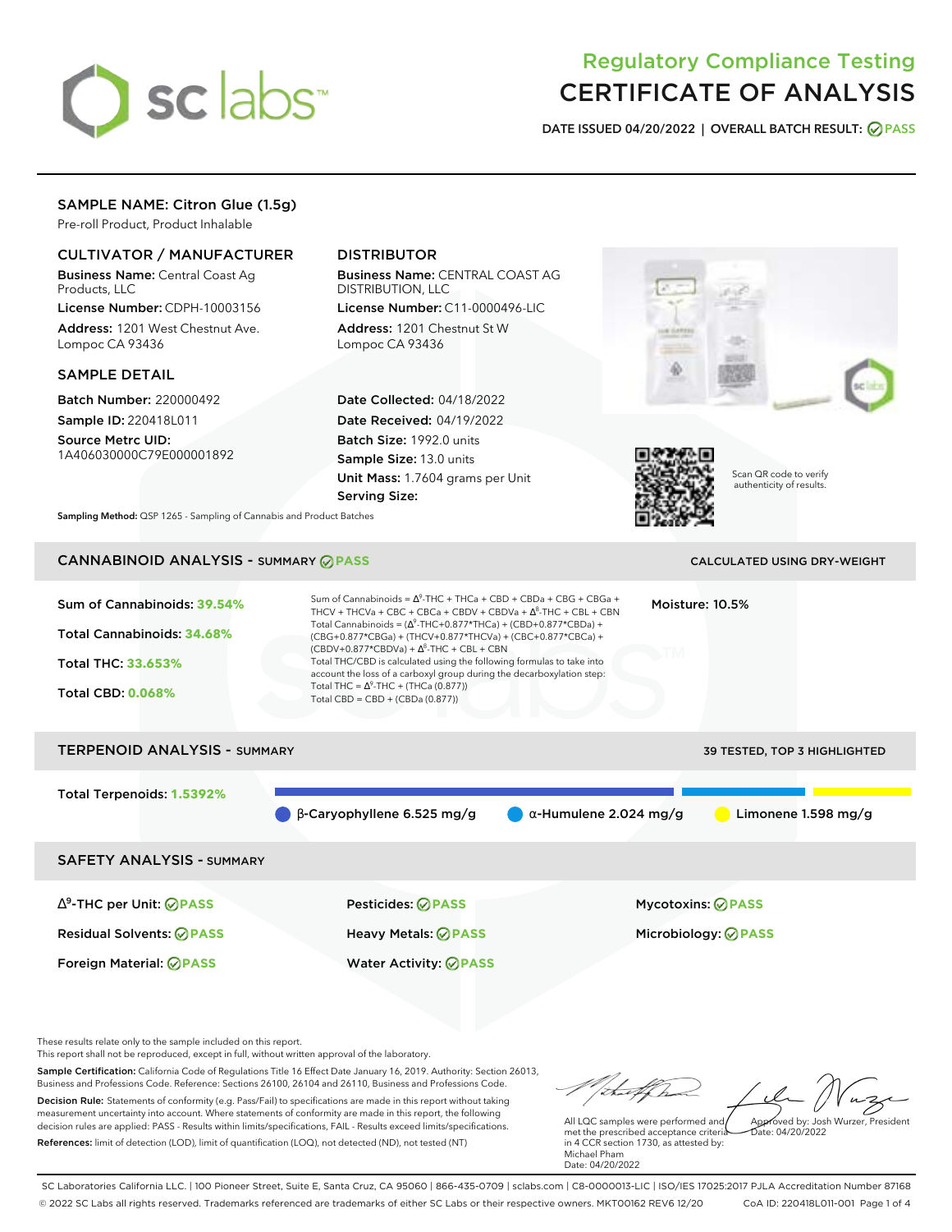

# Regulatory Compliance Testing CERTIFICATE OF ANALYSIS

**DATE ISSUED 04/20/2022 | OVERALL BATCH RESULT: PASS**

## SAMPLE NAME: Citron Glue (1.5g)

Pre-roll Product, Product Inhalable

## CULTIVATOR / MANUFACTURER

Business Name: Central Coast Ag Products, LLC

License Number: CDPH-10003156 Address: 1201 West Chestnut Ave. Lompoc CA 93436

#### SAMPLE DETAIL

Batch Number: 220000492 Sample ID: 220418L011

Source Metrc UID: 1A406030000C79E000001892

# DISTRIBUTOR

Business Name: CENTRAL COAST AG DISTRIBUTION, LLC

License Number: C11-0000496-LIC Address: 1201 Chestnut St W Lompoc CA 93436

Date Collected: 04/18/2022 Date Received: 04/19/2022 Batch Size: 1992.0 units Sample Size: 13.0 units Unit Mass: 1.7604 grams per Unit Serving Size:





Scan QR code to verify authenticity of results.

**Sampling Method:** QSP 1265 - Sampling of Cannabis and Product Batches

# CANNABINOID ANALYSIS - SUMMARY **PASS** CALCULATED USING DRY-WEIGHT

| Sum of Cannabinoids: 39.54%<br>Total Cannabinoids: 34.68%<br><b>Total THC: 33.653%</b><br><b>Total CBD: 0.068%</b> | Sum of Cannabinoids = $\Lambda^9$ -THC + THCa + CBD + CBDa + CBG + CBGa +<br>THCV + THCVa + CBC + CBCa + CBDV + CBDVa + $\Delta^8$ -THC + CBL + CBN<br>Total Cannabinoids = $(\Delta^9$ -THC+0.877*THCa) + (CBD+0.877*CBDa) +<br>(CBG+0.877*CBGa) + (THCV+0.877*THCVa) + (CBC+0.877*CBCa) +<br>$(CBDV+0.877*CBDVa) + \Delta^{8}$ -THC + CBL + CBN<br>Total THC/CBD is calculated using the following formulas to take into<br>account the loss of a carboxyl group during the decarboxylation step:<br>Total THC = $\Delta^9$ -THC + (THCa (0.877))<br>Total CBD = CBD + (CBDa (0.877)) | Moisture: 10.5%               |                              |
|--------------------------------------------------------------------------------------------------------------------|-----------------------------------------------------------------------------------------------------------------------------------------------------------------------------------------------------------------------------------------------------------------------------------------------------------------------------------------------------------------------------------------------------------------------------------------------------------------------------------------------------------------------------------------------------------------------------------------|-------------------------------|------------------------------|
| <b>TERPENOID ANALYSIS - SUMMARY</b>                                                                                |                                                                                                                                                                                                                                                                                                                                                                                                                                                                                                                                                                                         |                               | 39 TESTED, TOP 3 HIGHLIGHTED |
| Total Terpenoids: 1.5392%                                                                                          | $\beta$ -Caryophyllene 6.525 mg/g                                                                                                                                                                                                                                                                                                                                                                                                                                                                                                                                                       | $\alpha$ -Humulene 2.024 mg/g | Limonene $1.598$ mg/g        |
| <b>SAFETY ANALYSIS - SUMMARY</b>                                                                                   |                                                                                                                                                                                                                                                                                                                                                                                                                                                                                                                                                                                         |                               |                              |
| $\Delta^9$ -THC per Unit: $\oslash$ PASS                                                                           | Pesticides: ⊘PASS                                                                                                                                                                                                                                                                                                                                                                                                                                                                                                                                                                       |                               | <b>Mycotoxins: ◎ PASS</b>    |
| <b>Residual Solvents: ⊘PASS</b>                                                                                    | Heavy Metals: <b>⊘</b> PASS                                                                                                                                                                                                                                                                                                                                                                                                                                                                                                                                                             |                               | Microbiology: <b>⊘PASS</b>   |
| Foreign Material: <b>⊘ PASS</b>                                                                                    | <b>Water Activity: ◎ PASS</b>                                                                                                                                                                                                                                                                                                                                                                                                                                                                                                                                                           |                               |                              |

These results relate only to the sample included on this report.

This report shall not be reproduced, except in full, without written approval of the laboratory.

Sample Certification: California Code of Regulations Title 16 Effect Date January 16, 2019. Authority: Section 26013, Business and Professions Code. Reference: Sections 26100, 26104 and 26110, Business and Professions Code. Decision Rule: Statements of conformity (e.g. Pass/Fail) to specifications are made in this report without taking measurement uncertainty into account. Where statements of conformity are made in this report, the following decision rules are applied: PASS - Results within limits/specifications, FAIL - Results exceed limits/specifications.

References: limit of detection (LOD), limit of quantification (LOQ), not detected (ND), not tested (NT)

talkha Approved by: Josh Wurzer, President

Date: 04/20/2022

All LQC samples were performed and met the prescribed acceptance criteria in 4 CCR section 1730, as attested by: Michael Pham Date: 04/20/2022

SC Laboratories California LLC. | 100 Pioneer Street, Suite E, Santa Cruz, CA 95060 | 866-435-0709 | sclabs.com | C8-0000013-LIC | ISO/IES 17025:2017 PJLA Accreditation Number 87168 © 2022 SC Labs all rights reserved. Trademarks referenced are trademarks of either SC Labs or their respective owners. MKT00162 REV6 12/20 CoA ID: 220418L011-001 Page 1 of 4